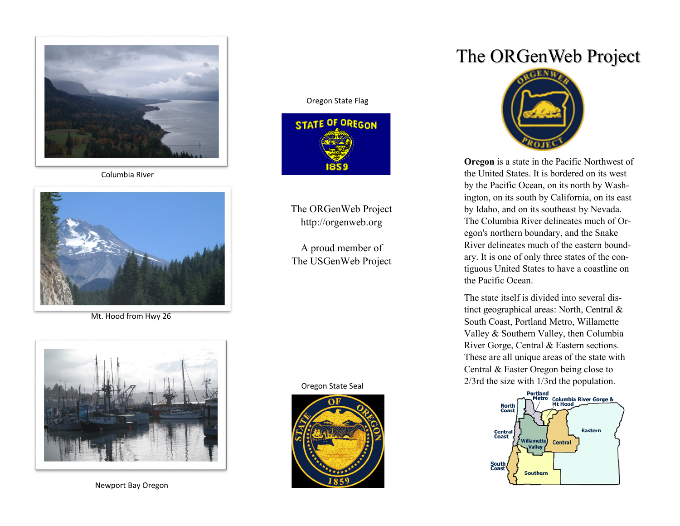

Columbia River



Mt. Hood from Hwy 26



Newport Bay Oregon

#### Oregon State Flag



The ORGenWeb Project http://orgenweb.org

A proud member of The USGenWeb Project

#### Oregon State Seal



# The ORGenWeb Project



**Oregon** is a state in the Pacific Northwest of the United States. It is bordered on its west by the Pacific Ocean, on its north by Washington, on its south by California, on its east by Idaho, and on its southeast by Nevada. The Columbia River delineates much of Oregon's northern boundary, and the Snake River delineates much of the eastern boundary. It is one of only three states of the contiguous United States to have a coastline on the Pacific Ocean.

The state itself is divided into several distinct geographical areas: North, Central & South Coast, Portland Metro, Willamette Valley & Southern Valley, then Columbia River Gorge, Central & Eastern sections. These are all unique areas of the state with Central & Easter Oregon being close to 2/3rd the size with 1/3rd the population.